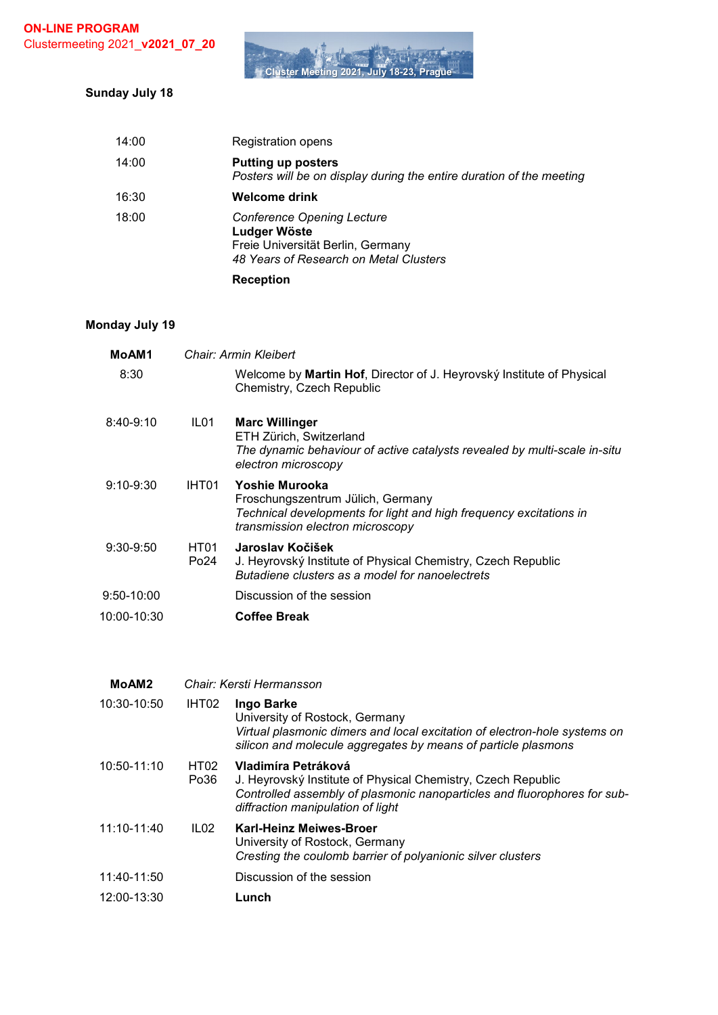

# **Sunday July 18**

|       | <b>Reception</b>                                                                                                                 |
|-------|----------------------------------------------------------------------------------------------------------------------------------|
| 18:00 | <b>Conference Opening Lecture</b><br>Ludger Wöste<br>Freie Universität Berlin, Germany<br>48 Years of Research on Metal Clusters |
| 16:30 | <b>Welcome drink</b>                                                                                                             |
| 14:00 | <b>Putting up posters</b><br>Posters will be on display during the entire duration of the meeting                                |
| 14:00 | Registration opens                                                                                                               |

#### **Monday July 19**

| MoAM1          |              | Chair: Armin Kleibert                                                                                                                                         |
|----------------|--------------|---------------------------------------------------------------------------------------------------------------------------------------------------------------|
| 8:30           |              | Welcome by Martin Hof, Director of J. Heyrovský Institute of Physical<br>Chemistry, Czech Republic                                                            |
| $8:40-9:10$    | ILO1         | <b>Marc Willinger</b><br>ETH Zürich, Switzerland<br>The dynamic behaviour of active catalysts revealed by multi-scale in-situ<br>electron microscopy          |
| $9:10 - 9:30$  | IHT01        | Yoshie Murooka<br>Froschungszentrum Jülich, Germany<br>Technical developments for light and high frequency excitations in<br>transmission electron microscopy |
| $9:30-9:50$    | HT01<br>Po24 | Jaroslav Kočišek<br>J. Heyrovský Institute of Physical Chemistry, Czech Republic<br>Butadiene clusters as a model for nanoelectrets                           |
| $9:50 - 10:00$ |              | Discussion of the session                                                                                                                                     |
| 10:00-10:30    |              | <b>Coffee Break</b>                                                                                                                                           |
|                |              |                                                                                                                                                               |

| MoAM <sub>2</sub> |                  | Chair: Kersti Hermansson                                                                                                                                                                             |
|-------------------|------------------|------------------------------------------------------------------------------------------------------------------------------------------------------------------------------------------------------|
| 10:30-10:50       | IHT02            | Ingo Barke<br>University of Rostock, Germany<br>Virtual plasmonic dimers and local excitation of electron-hole systems on<br>silicon and molecule aggregates by means of particle plasmons           |
| 10:50-11:10       | HT02<br>Po36     | Vladimíra Petráková<br>J. Heyrovský Institute of Physical Chemistry, Czech Republic<br>Controlled assembly of plasmonic nanoparticles and fluorophores for sub-<br>diffraction manipulation of light |
| 11:10-11:40       | ILO <sub>2</sub> | <b>Karl-Heinz Meiwes-Broer</b><br>University of Rostock, Germany<br>Cresting the coulomb barrier of polyanionic silver clusters                                                                      |
| 11:40-11:50       |                  | Discussion of the session                                                                                                                                                                            |
| 12:00-13:30       |                  | Lunch                                                                                                                                                                                                |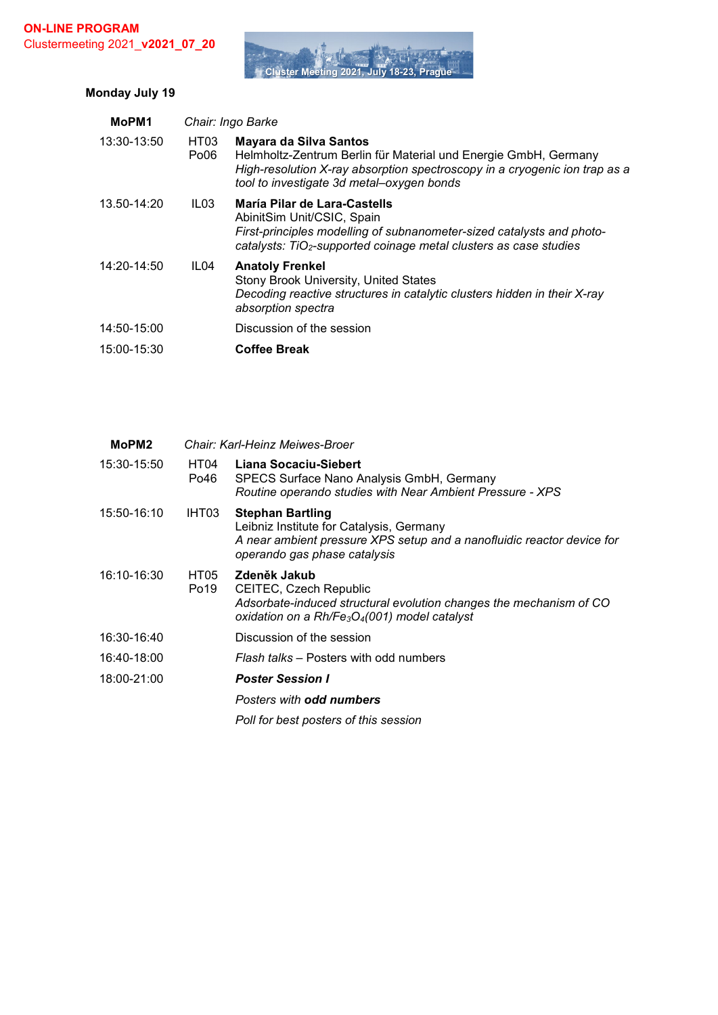

# **Monday July 19**

| MoPM1       |                                      | Chair: Ingo Barke                                                                                                                                                                                                    |  |  |  |
|-------------|--------------------------------------|----------------------------------------------------------------------------------------------------------------------------------------------------------------------------------------------------------------------|--|--|--|
| 13:30-13:50 | HT <sub>03</sub><br>Po <sub>06</sub> | Mayara da Silva Santos<br>Helmholtz-Zentrum Berlin für Material und Energie GmbH, Germany<br>High-resolution X-ray absorption spectroscopy in a cryogenic ion trap as a<br>tool to investigate 3d metal-oxygen bonds |  |  |  |
| 13.50-14:20 | IL <sub>03</sub>                     | María Pilar de Lara-Castells<br>AbinitSim Unit/CSIC, Spain<br>First-principles modelling of subnanometer-sized catalysts and photo-<br>catalysts: TiO <sub>2</sub> -supported coinage metal clusters as case studies |  |  |  |
| 14:20-14:50 | IL <sub>04</sub>                     | <b>Anatoly Frenkel</b><br>Stony Brook University, United States<br>Decoding reactive structures in catalytic clusters hidden in their X-ray<br>absorption spectra                                                    |  |  |  |
| 14:50-15:00 |                                      | Discussion of the session                                                                                                                                                                                            |  |  |  |
| 15:00-15:30 |                                      | <b>Coffee Break</b>                                                                                                                                                                                                  |  |  |  |

| MoPM <sub>2</sub> |              | Chair: Karl-Heinz Meiwes-Broer                                                                                                                                                |  |
|-------------------|--------------|-------------------------------------------------------------------------------------------------------------------------------------------------------------------------------|--|
| 15:30-15:50       | HT04<br>Po46 | Liana Socaciu-Siebert<br>SPECS Surface Nano Analysis GmbH, Germany<br>Routine operando studies with Near Ambient Pressure - XPS                                               |  |
| 15:50-16:10       | IHT03        | <b>Stephan Bartling</b><br>Leibniz Institute for Catalysis, Germany<br>A near ambient pressure XPS setup and a nanofluidic reactor device for<br>operando gas phase catalysis |  |
| 16:10-16:30       | HT05<br>Po19 | Zdeněk Jakub<br>CEITEC, Czech Republic<br>Adsorbate-induced structural evolution changes the mechanism of CO<br>oxidation on a $Rh/Fe_3O_4(001)$ model catalyst               |  |
| 16:30-16:40       |              | Discussion of the session                                                                                                                                                     |  |
| 16:40-18:00       |              | Flash talks – Posters with odd numbers                                                                                                                                        |  |
| 18:00-21:00       |              | <b>Poster Session I</b>                                                                                                                                                       |  |
|                   |              | Posters with <b>odd numbers</b>                                                                                                                                               |  |
|                   |              | Poll for best posters of this session                                                                                                                                         |  |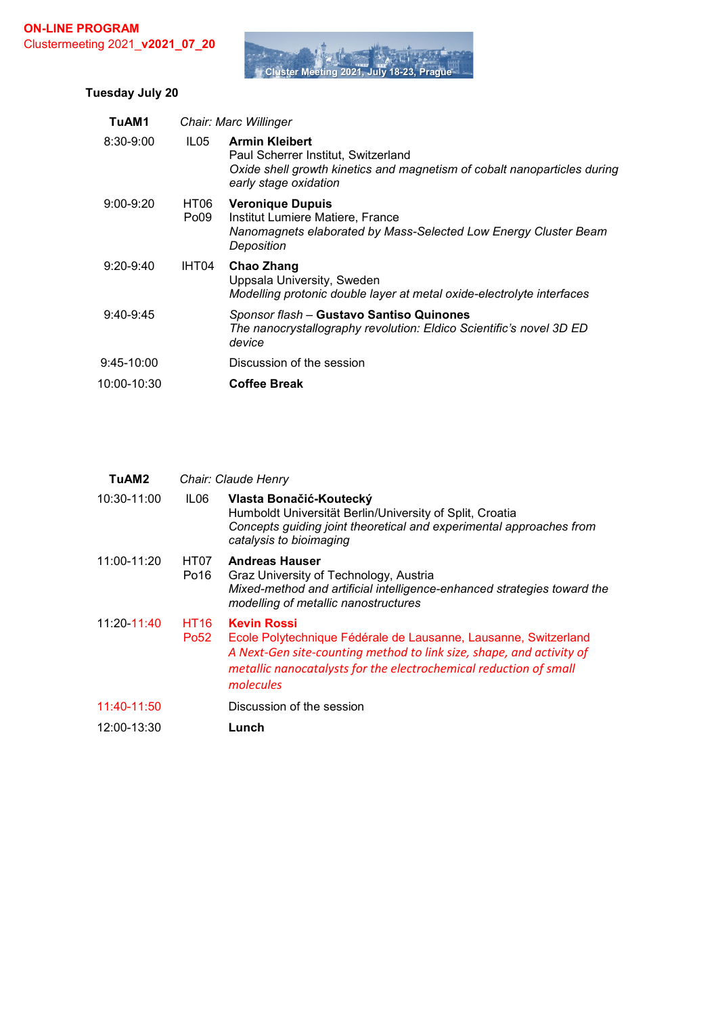

# **Tuesday July 20**

| TuAM1         |                          | Chair: Marc Willinger                                                                                                                                             |
|---------------|--------------------------|-------------------------------------------------------------------------------------------------------------------------------------------------------------------|
| $8:30 - 9:00$ | ILO5                     | <b>Armin Kleibert</b><br>Paul Scherrer Institut, Switzerland<br>Oxide shell growth kinetics and magnetism of cobalt nanoparticles during<br>early stage oxidation |
| $9:00 - 9:20$ | HT06<br>Po <sub>09</sub> | <b>Veronique Dupuis</b><br>Institut Lumiere Matiere, France<br>Nanomagnets elaborated by Mass-Selected Low Energy Cluster Beam<br>Deposition                      |
| $9:20 - 9:40$ | IHT04                    | Chao Zhang<br>Uppsala University, Sweden<br>Modelling protonic double layer at metal oxide-electrolyte interfaces                                                 |
| $9:40-9:45$   |                          | Sponsor flash - Gustavo Santiso Quinones<br>The nanocrystallography revolution: Eldico Scientific's novel 3D ED<br>device                                         |
| $9:45-10:00$  |                          | Discussion of the session                                                                                                                                         |
| 10:00-10:30   |                          | <b>Coffee Break</b>                                                                                                                                               |

| TuAM2       |                                 | Chair: Claude Henry                                                                                                                                                                                                                             |
|-------------|---------------------------------|-------------------------------------------------------------------------------------------------------------------------------------------------------------------------------------------------------------------------------------------------|
| 10:30-11:00 | ILO6                            | Vlasta Bonačić-Koutecký<br>Humboldt Universität Berlin/University of Split, Croatia<br>Concepts guiding joint theoretical and experimental approaches from<br>catalysis to bioimaging                                                           |
| 11:00-11:20 | HT07<br>Po <sub>16</sub>        | <b>Andreas Hauser</b><br>Graz University of Technology, Austria<br>Mixed-method and artificial intelligence-enhanced strategies toward the<br>modelling of metallic nanostructures                                                              |
| 11:20-11:40 | <b>HT16</b><br>Po <sub>52</sub> | <b>Kevin Rossi</b><br>Ecole Polytechnique Fédérale de Lausanne, Lausanne, Switzerland<br>A Next-Gen site-counting method to link size, shape, and activity of<br>metallic nanocatalysts for the electrochemical reduction of small<br>molecules |
| 11:40-11:50 |                                 | Discussion of the session                                                                                                                                                                                                                       |
| 12:00-13:30 |                                 | Lunch                                                                                                                                                                                                                                           |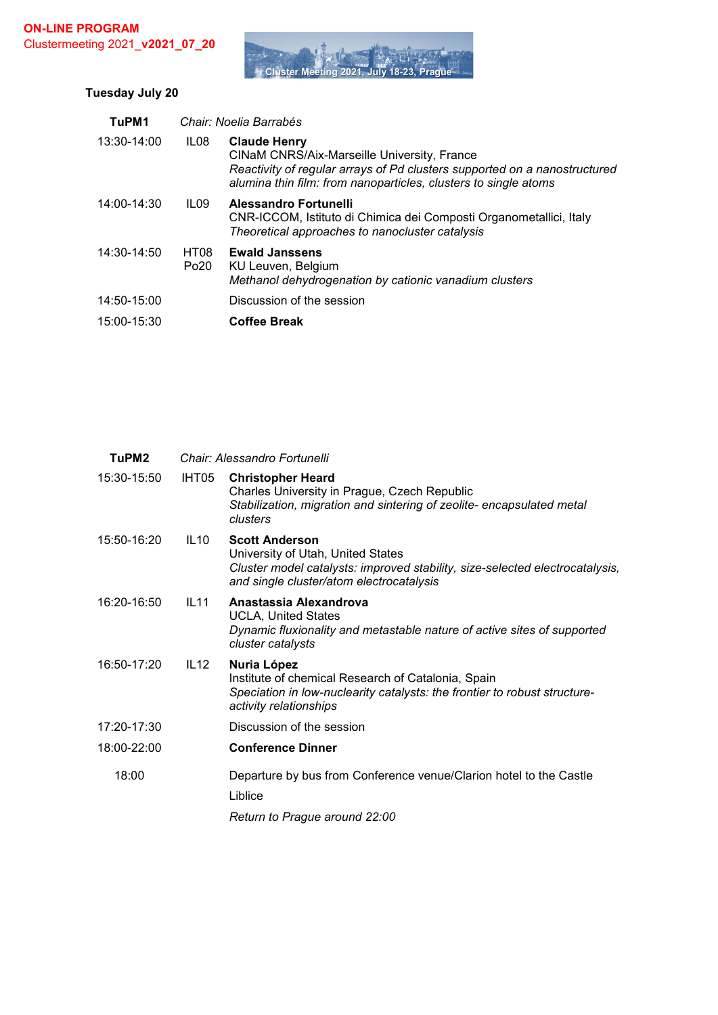

# **Tuesday July 20**

| TuPM1       |                          | Chair: Noelia Barrabés                                                                                                                                                                                             |
|-------------|--------------------------|--------------------------------------------------------------------------------------------------------------------------------------------------------------------------------------------------------------------|
| 13:30-14:00 | IL <sub>08</sub>         | <b>Claude Henry</b><br>CINaM CNRS/Aix-Marseille University, France<br>Reactivity of regular arrays of Pd clusters supported on a nanostructured<br>alumina thin film: from nanoparticles, clusters to single atoms |
| 14:00-14:30 | ILO9                     | Alessandro Fortunelli<br>CNR-ICCOM, Istituto di Chimica dei Composti Organometallici, Italy<br>Theoretical approaches to nanocluster catalysis                                                                     |
| 14:30-14:50 | HT08<br>Po <sub>20</sub> | <b>Ewald Janssens</b><br>KU Leuven, Belgium<br>Methanol dehydrogenation by cationic vanadium clusters                                                                                                              |
| 14:50-15:00 |                          | Discussion of the session                                                                                                                                                                                          |
| 15:00-15:30 |                          | <b>Coffee Break</b>                                                                                                                                                                                                |

| TuPM <sub>2</sub> |       | Chair: Alessandro Fortunelli                                                                                                                                                           |
|-------------------|-------|----------------------------------------------------------------------------------------------------------------------------------------------------------------------------------------|
| 15:30-15:50       | IHT05 | <b>Christopher Heard</b><br>Charles University in Prague, Czech Republic<br>Stabilization, migration and sintering of zeolite-encapsulated metal<br>clusters                           |
| 15:50-16:20       | IL10  | <b>Scott Anderson</b><br>University of Utah, United States<br>Cluster model catalysts: improved stability, size-selected electrocatalysis,<br>and single cluster/atom electrocatalysis |
| 16:20-16:50       | IL11  | Anastassia Alexandrova<br><b>UCLA, United States</b><br>Dynamic fluxionality and metastable nature of active sites of supported<br>cluster catalysts                                   |
| 16:50-17:20       | IL12  | Nuria López<br>Institute of chemical Research of Catalonia, Spain<br>Speciation in low-nuclearity catalysts: the frontier to robust structure-<br>activity relationships               |
| 17:20-17:30       |       | Discussion of the session                                                                                                                                                              |
| 18:00-22:00       |       | <b>Conference Dinner</b>                                                                                                                                                               |
| 18:00             |       | Departure by bus from Conference venue/Clarion hotel to the Castle<br>Liblice<br>Return to Prague around 22:00                                                                         |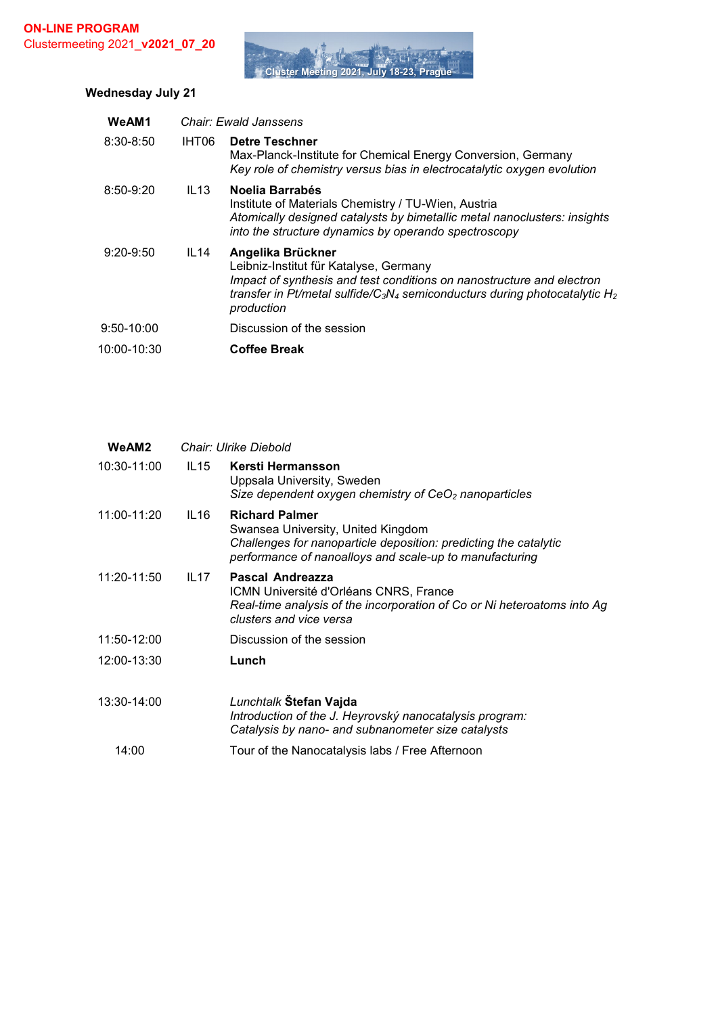

# **Wednesday July 21**

| WeAM1         |                  | Chair: Ewald Janssens                                                                                                                                                                                                                                                |
|---------------|------------------|----------------------------------------------------------------------------------------------------------------------------------------------------------------------------------------------------------------------------------------------------------------------|
| $8:30 - 8:50$ | IHT06            | <b>Detre Teschner</b><br>Max-Planck-Institute for Chemical Energy Conversion, Germany<br>Key role of chemistry versus bias in electrocatalytic oxygen evolution                                                                                                      |
| $8:50-9:20$   | IL13             | Noelia Barrabés<br>Institute of Materials Chemistry / TU-Wien, Austria<br>Atomically designed catalysts by bimetallic metal nanoclusters: insights<br>into the structure dynamics by operando spectroscopy                                                           |
| $9:20 - 9:50$ | IL <sub>14</sub> | Angelika Brückner<br>Leibniz-Institut für Katalyse, Germany<br>Impact of synthesis and test conditions on nanostructure and electron<br>transfer in Pt/metal sulfide/C <sub>3</sub> N <sub>4</sub> semiconducturs during photocatalytic H <sub>2</sub><br>production |
| $9:50-10:00$  |                  | Discussion of the session                                                                                                                                                                                                                                            |
| 10:00-10:30   |                  | <b>Coffee Break</b>                                                                                                                                                                                                                                                  |
|               |                  |                                                                                                                                                                                                                                                                      |

| WeAM2       |      | Chair: Ulrike Diebold                                                                                                                                                                      |  |  |  |
|-------------|------|--------------------------------------------------------------------------------------------------------------------------------------------------------------------------------------------|--|--|--|
| 10:30-11:00 | IL15 | Kersti Hermansson<br>Uppsala University, Sweden<br>Size dependent oxygen chemistry of $CeO2$ nanoparticles                                                                                 |  |  |  |
| 11:00-11:20 | IL16 | <b>Richard Palmer</b><br>Swansea University, United Kingdom<br>Challenges for nanoparticle deposition: predicting the catalytic<br>performance of nanoalloys and scale-up to manufacturing |  |  |  |
| 11:20-11:50 | IL17 | Pascal Andreazza<br>ICMN Université d'Orléans CNRS, France<br>Real-time analysis of the incorporation of Co or Ni heteroatoms into Ag<br>clusters and vice versa                           |  |  |  |
| 11:50-12:00 |      | Discussion of the session                                                                                                                                                                  |  |  |  |
| 12:00-13:30 |      | Lunch                                                                                                                                                                                      |  |  |  |
| 13:30-14:00 |      | Lunchtalk Stefan Vajda<br>Introduction of the J. Heyrovský nanocatalysis program:<br>Catalysis by nano- and subnanometer size catalysts                                                    |  |  |  |
| 14:00       |      | Tour of the Nanocatalysis labs / Free Afternoon                                                                                                                                            |  |  |  |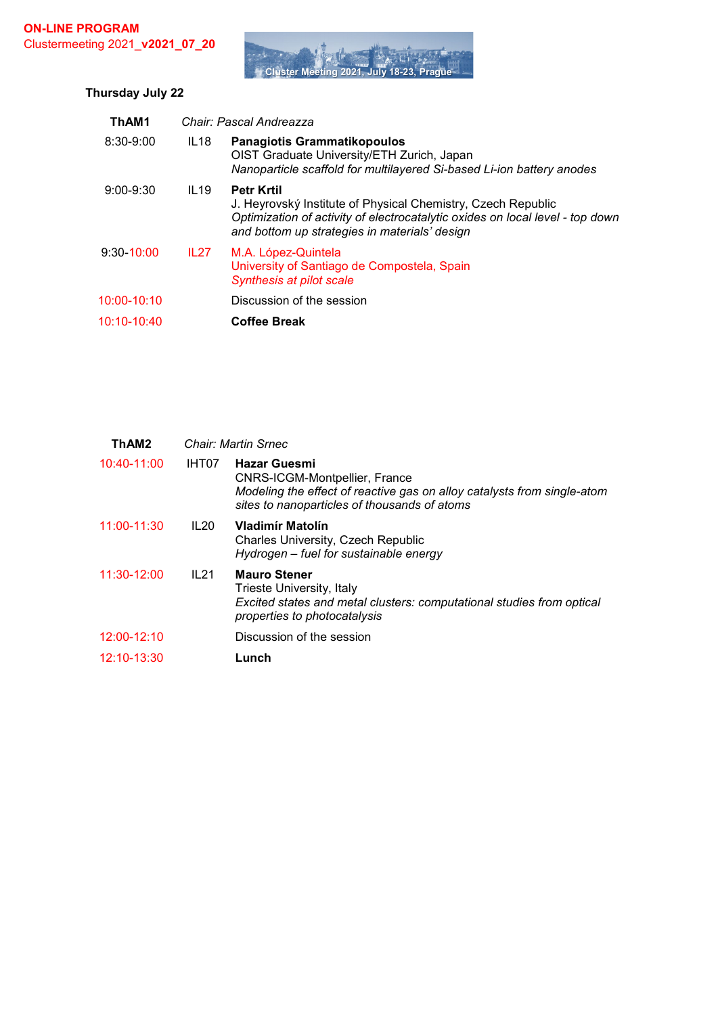

# **Thursday July 22**

| ThAM1           |                  | Chair: Pascal Andreazza                                                                                                                                                                                             |
|-----------------|------------------|---------------------------------------------------------------------------------------------------------------------------------------------------------------------------------------------------------------------|
| $8:30 - 9:00$   | IL <sub>18</sub> | <b>Panagiotis Grammatikopoulos</b><br>OIST Graduate University/ETH Zurich, Japan<br>Nanoparticle scaffold for multilayered Si-based Li-ion battery anodes                                                           |
| $9:00 - 9:30$   | IL19             | <b>Petr Krtil</b><br>J. Heyrovský Institute of Physical Chemistry, Czech Republic<br>Optimization of activity of electrocatalytic oxides on local level - top down<br>and bottom up strategies in materials' design |
| $9:30 - 10:00$  | IL <sub>27</sub> | M.A. López-Quintela<br>University of Santiago de Compostela, Spain<br>Synthesis at pilot scale                                                                                                                      |
| $10:00 - 10:10$ |                  | Discussion of the session                                                                                                                                                                                           |
| 10:10-10:40     |                  | <b>Coffee Break</b>                                                                                                                                                                                                 |

| ThAM2       |       | Chair: Martin Srnec                                                                                                                                                                    |
|-------------|-------|----------------------------------------------------------------------------------------------------------------------------------------------------------------------------------------|
| 10:40-11:00 | IHT07 | <b>Hazar Guesmi</b><br><b>CNRS-ICGM-Montpellier, France</b><br>Modeling the effect of reactive gas on alloy catalysts from single-atom<br>sites to nanoparticles of thousands of atoms |
| 11:00-11:30 | IL20  | Vladimír Matolín<br><b>Charles University, Czech Republic</b><br>Hydrogen - fuel for sustainable energy                                                                                |
| 11:30-12:00 | IL21  | <b>Mauro Stener</b><br>Trieste University, Italy<br>Excited states and metal clusters: computational studies from optical<br>properties to photocatalysis                              |
| 12:00-12:10 |       | Discussion of the session                                                                                                                                                              |
| 12:10-13:30 |       | Lunch                                                                                                                                                                                  |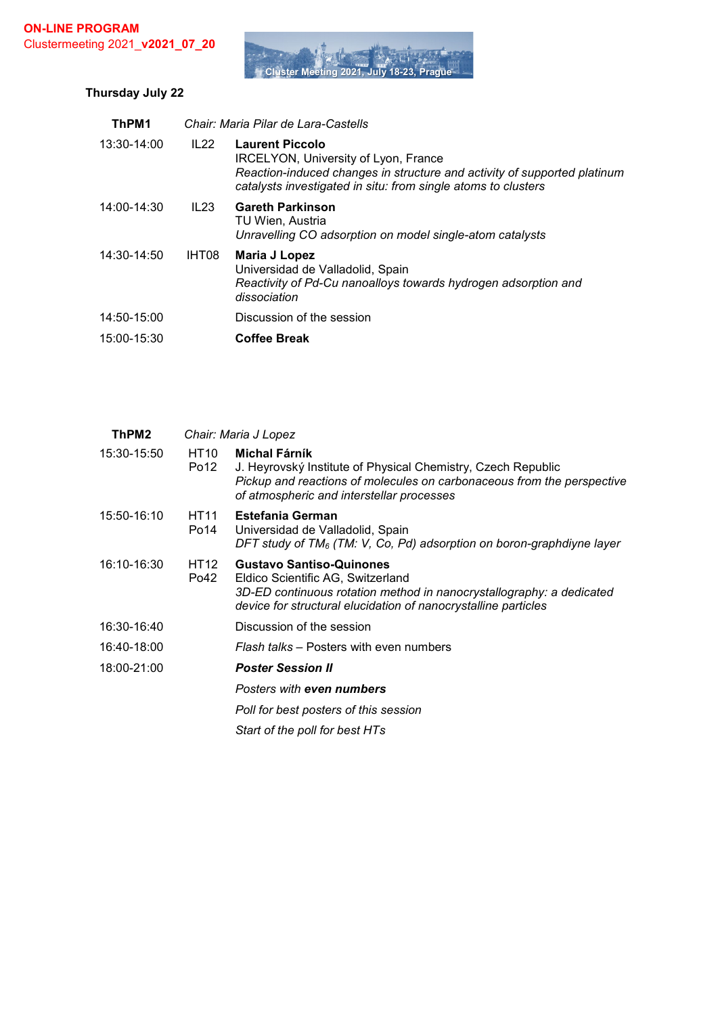

# **Thursday July 22**

| ThPM1       |       | Chair: Maria Pilar de Lara-Castells                                                                                                                                                                         |
|-------------|-------|-------------------------------------------------------------------------------------------------------------------------------------------------------------------------------------------------------------|
| 13:30-14:00 | IL22  | <b>Laurent Piccolo</b><br>IRCELYON, University of Lyon, France<br>Reaction-induced changes in structure and activity of supported platinum<br>catalysts investigated in situ: from single atoms to clusters |
| 14:00-14:30 | IL23  | <b>Gareth Parkinson</b><br>TU Wien, Austria<br>Unravelling CO adsorption on model single-atom catalysts                                                                                                     |
| 14:30-14:50 | IHT08 | Maria J Lopez<br>Universidad de Valladolid, Spain<br>Reactivity of Pd-Cu nanoalloys towards hydrogen adsorption and<br>dissociation                                                                         |
| 14:50-15:00 |       | Discussion of the session                                                                                                                                                                                   |
| 15:00-15:30 |       | <b>Coffee Break</b>                                                                                                                                                                                         |

|                          | Chair: Maria J Lopez                                                                                                                                                                                           |
|--------------------------|----------------------------------------------------------------------------------------------------------------------------------------------------------------------------------------------------------------|
| HT10<br>Po <sub>12</sub> | Michal Fárník<br>J. Heyrovský Institute of Physical Chemistry, Czech Republic<br>Pickup and reactions of molecules on carbonaceous from the perspective<br>of atmospheric and interstellar processes           |
| HT11<br>Po14             | <b>Estefania German</b><br>Universidad de Valladolid, Spain<br>DFT study of $TM_6$ (TM: V, Co, Pd) adsorption on boron-graphdiyne layer                                                                        |
| <b>HT12</b><br>Po42      | <b>Gustavo Santiso-Quinones</b><br>Eldico Scientific AG, Switzerland<br>3D-ED continuous rotation method in nanocrystallography: a dedicated<br>device for structural elucidation of nanocrystalline particles |
|                          | Discussion of the session                                                                                                                                                                                      |
|                          | Flash talks – Posters with even numbers                                                                                                                                                                        |
|                          | <b>Poster Session II</b>                                                                                                                                                                                       |
|                          | Posters with even numbers                                                                                                                                                                                      |
|                          | Poll for best posters of this session                                                                                                                                                                          |
|                          | Start of the poll for best HTs                                                                                                                                                                                 |
|                          |                                                                                                                                                                                                                |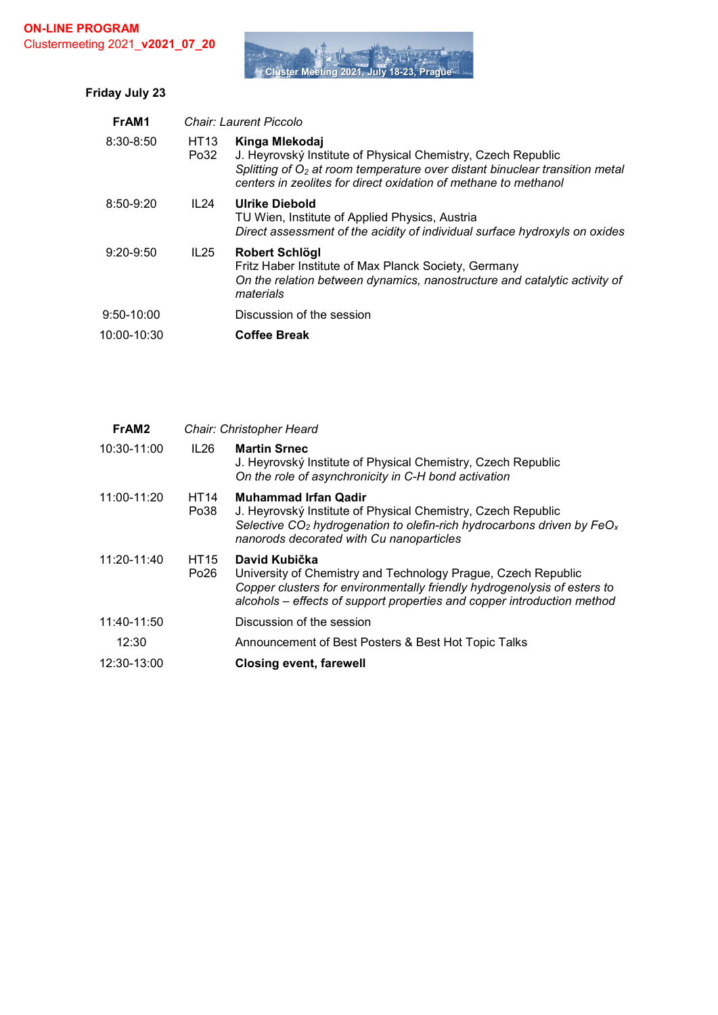

| Friday July 23 |  |  |
|----------------|--|--|
|----------------|--|--|

| FrAM1          |                     | Chair: Laurent Piccolo                                                                                                                                                                                                             |
|----------------|---------------------|------------------------------------------------------------------------------------------------------------------------------------------------------------------------------------------------------------------------------------|
| $8:30 - 8:50$  | <b>HT13</b><br>Po32 | Kinga Mlekodaj<br>J. Heyrovský Institute of Physical Chemistry, Czech Republic<br>Splitting of $O2$ at room temperature over distant binuclear transition metal<br>centers in zeolites for direct oxidation of methane to methanol |
| $8:50-9:20$    | IL24                | Ulrike Diebold<br>TU Wien, Institute of Applied Physics, Austria<br>Direct assessment of the acidity of individual surface hydroxyls on oxides                                                                                     |
| $9:20 - 9:50$  | IL25                | Robert Schlögl<br>Fritz Haber Institute of Max Planck Society, Germany<br>On the relation between dynamics, nanostructure and catalytic activity of<br>materials                                                                   |
| $9:50 - 10:00$ |                     | Discussion of the session                                                                                                                                                                                                          |
| 10:00-10:30    |                     | <b>Coffee Break</b>                                                                                                                                                                                                                |

| FrAM <sub>2</sub> |                          | Chair: Christopher Heard                                                                                                                                                                                                              |
|-------------------|--------------------------|---------------------------------------------------------------------------------------------------------------------------------------------------------------------------------------------------------------------------------------|
| 10:30-11:00       | IL26                     | <b>Martin Srnec</b><br>J. Heyrovský Institute of Physical Chemistry, Czech Republic<br>On the role of asynchronicity in C-H bond activation                                                                                           |
| 11:00-11:20       | HT <sub>14</sub><br>Po38 | <b>Muhammad Irfan Qadir</b><br>J. Heyrovský Institute of Physical Chemistry, Czech Republic<br>Selective $CO2$ hydrogenation to olefin-rich hydrocarbons driven by FeO <sub>x</sub><br>nanorods decorated with Cu nanoparticles       |
| 11:20-11:40       | HT15<br>Po26             | David Kubička<br>University of Chemistry and Technology Prague, Czech Republic<br>Copper clusters for environmentally friendly hydrogenolysis of esters to<br>alcohols – effects of support properties and copper introduction method |
| 11:40-11:50       |                          | Discussion of the session                                                                                                                                                                                                             |
| 12:30             |                          | Announcement of Best Posters & Best Hot Topic Talks                                                                                                                                                                                   |
| 12:30-13:00       |                          | <b>Closing event, farewell</b>                                                                                                                                                                                                        |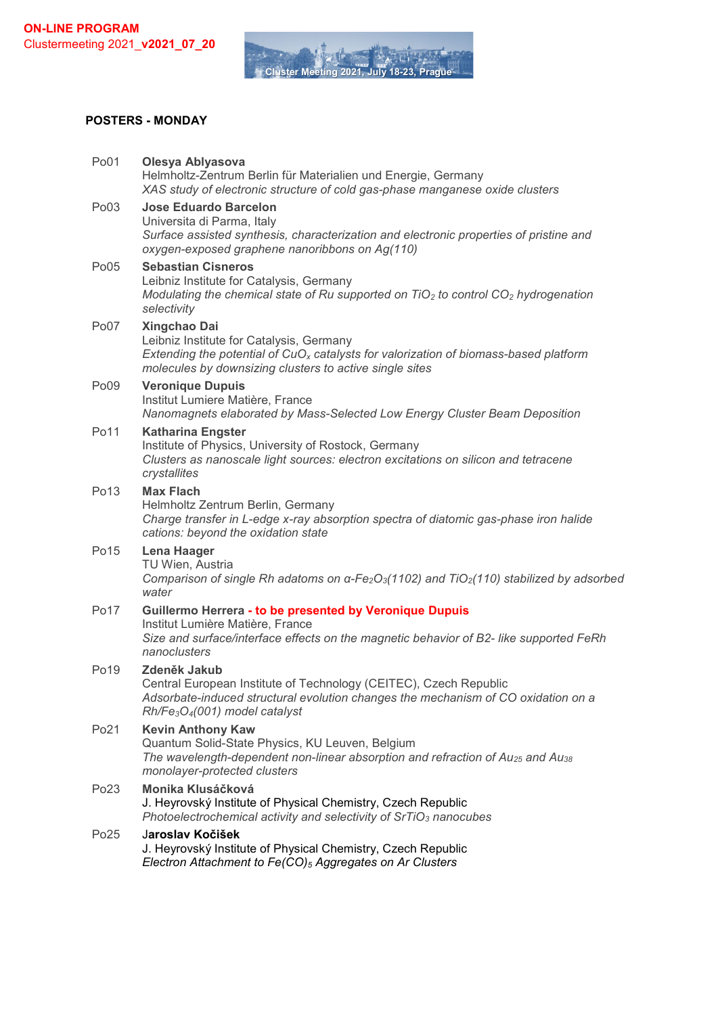

#### **POSTERS - MONDAY**

| Po01             | Olesya Ablyasova<br>Helmholtz-Zentrum Berlin für Materialien und Energie, Germany<br>XAS study of electronic structure of cold gas-phase manganese oxide clusters                                                                |
|------------------|----------------------------------------------------------------------------------------------------------------------------------------------------------------------------------------------------------------------------------|
| Po03             | <b>Jose Eduardo Barcelon</b><br>Universita di Parma, Italy<br>Surface assisted synthesis, characterization and electronic properties of pristine and<br>oxygen-exposed graphene nanoribbons on Ag(110)                           |
| Po05             | <b>Sebastian Cisneros</b><br>Leibniz Institute for Catalysis, Germany<br>Modulating the chemical state of Ru supported on $TiO2$ to control CO <sub>2</sub> hydrogenation<br>selectivity                                         |
| Po07             | Xingchao Dai<br>Leibniz Institute for Catalysis, Germany<br>Extending the potential of $CuOx$ catalysts for valorization of biomass-based platform<br>molecules by downsizing clusters to active single sites                    |
| Po09             | <b>Veronique Dupuis</b><br>Institut Lumiere Matière, France<br>Nanomagnets elaborated by Mass-Selected Low Energy Cluster Beam Deposition                                                                                        |
| Po11             | <b>Katharina Engster</b><br>Institute of Physics, University of Rostock, Germany<br>Clusters as nanoscale light sources: electron excitations on silicon and tetracene<br>crystallites                                           |
| Po13             | <b>Max Flach</b><br>Helmholtz Zentrum Berlin, Germany<br>Charge transfer in L-edge x-ray absorption spectra of diatomic gas-phase iron halide<br>cations: beyond the oxidation state                                             |
| Po15             | <b>Lena Haager</b><br>TU Wien, Austria<br>Comparison of single Rh adatoms on $\alpha$ -Fe <sub>2</sub> O <sub>3</sub> (1102) and TiO <sub>2</sub> (110) stabilized by adsorbed<br>water                                          |
| Po <sub>17</sub> | Guillermo Herrera - to be presented by Veronique Dupuis<br>Institut Lumière Matière, France<br>Size and surface/interface effects on the magnetic behavior of B2- like supported FeRh<br>nanoclusters                            |
| Po19             | Zdeněk Jakub<br>Central European Institute of Technology (CEITEC), Czech Republic<br>Adsorbate-induced structural evolution changes the mechanism of CO oxidation on a<br>Rh/Fe <sub>3</sub> O <sub>4</sub> (001) model catalyst |
| Po21             | <b>Kevin Anthony Kaw</b><br>Quantum Solid-State Physics, KU Leuven, Belgium<br>The wavelength-dependent non-linear absorption and refraction of $Au_{25}$ and $Au_{38}$<br>monolayer-protected clusters                          |
| Po23             | Monika Klusáčková<br>J. Heyrovský Institute of Physical Chemistry, Czech Republic<br>Photoelectrochemical activity and selectivity of SrTiO <sub>3</sub> nanocubes                                                               |
| Po25             | Jaroslav Kočišek<br>J. Heyrovský Institute of Physical Chemistry, Czech Republic<br>Electron Attachment to Fe(CO) <sub>5</sub> Aggregates on Ar Clusters                                                                         |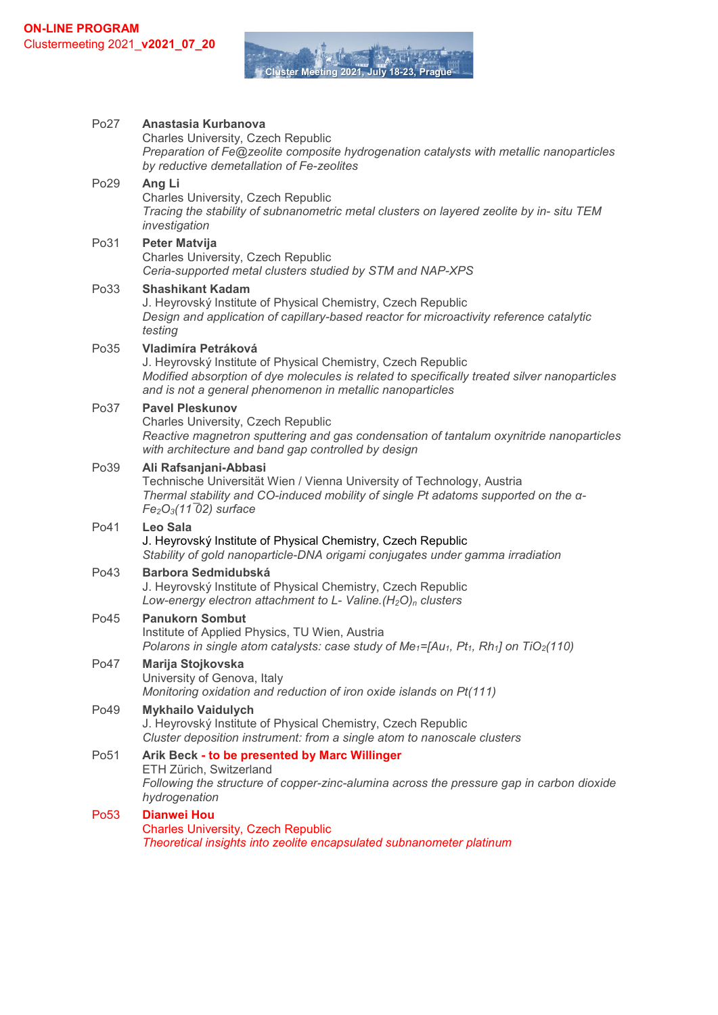**THE REAL Cluster Meeting 2021, July 18-23** 

| Po27             | Anastasia Kurbanova                                                                                                                                                                                                                              |
|------------------|--------------------------------------------------------------------------------------------------------------------------------------------------------------------------------------------------------------------------------------------------|
|                  | <b>Charles University, Czech Republic</b><br>Preparation of Fe@zeolite composite hydrogenation catalysts with metallic nanoparticles<br>by reductive demetallation of Fe-zeolites                                                                |
| Po29             | Ang Li<br>Charles University, Czech Republic<br>Tracing the stability of subnanometric metal clusters on layered zeolite by in- situ TEM<br>investigation                                                                                        |
| Po31             | <b>Peter Matvija</b><br>Charles University, Czech Republic<br>Ceria-supported metal clusters studied by STM and NAP-XPS                                                                                                                          |
| Po33             | <b>Shashikant Kadam</b><br>J. Heyrovský Institute of Physical Chemistry, Czech Republic<br>Design and application of capillary-based reactor for microactivity reference catalytic<br>testing                                                    |
| Po35             | Vladimíra Petráková<br>J. Heyrovský Institute of Physical Chemistry, Czech Republic<br>Modified absorption of dye molecules is related to specifically treated silver nanoparticles<br>and is not a general phenomenon in metallic nanoparticles |
| Po37             | <b>Pavel Pleskunov</b><br>Charles University, Czech Republic<br>Reactive magnetron sputtering and gas condensation of tantalum oxynitride nanoparticles<br>with architecture and band gap controlled by design                                   |
| Po39             | Ali Rafsanjani-Abbasi<br>Technische Universität Wien / Vienna University of Technology, Austria<br>Thermal stability and CO-induced mobility of single Pt adatoms supported on the a-<br>$Fe2O3(11\overline{0}2)$ surface                        |
| Po41             | <b>Leo Sala</b><br>J. Heyrovský Institute of Physical Chemistry, Czech Republic<br>Stability of gold nanoparticle-DNA origami conjugates under gamma irradiation                                                                                 |
| Po43             | <b>Barbora Sedmidubská</b><br>J. Heyrovský Institute of Physical Chemistry, Czech Republic<br>Low-energy electron attachment to L- Valine. $(H_2O)n$ clusters                                                                                    |
| Po45             | <b>Panukorn Sombut</b><br>Institute of Applied Physics, TU Wien, Austria<br>Polarons in single atom catalysts: case study of $Me_1 = [Au_1, Pt_1, Rh_1]$ on TiO <sub>2</sub> (110)                                                               |
| Po47             | <b>Marija Stojkovska</b><br>University of Genova, Italy<br>Monitoring oxidation and reduction of iron oxide islands on Pt(111)                                                                                                                   |
| Po49             | <b>Mykhailo Vaidulych</b><br>J. Heyrovský Institute of Physical Chemistry, Czech Republic<br>Cluster deposition instrument: from a single atom to nanoscale clusters                                                                             |
| Po <sub>51</sub> | Arik Beck - to be presented by Marc Willinger<br>ETH Zürich, Switzerland<br>Following the structure of copper-zinc-alumina across the pressure gap in carbon dioxide<br>hydrogenation                                                            |
| Po <sub>53</sub> | <b>Dianwei Hou</b><br><b>Charles University, Czech Republic</b><br>Theoretical insights into zeolite encapsulated subnanometer platinum                                                                                                          |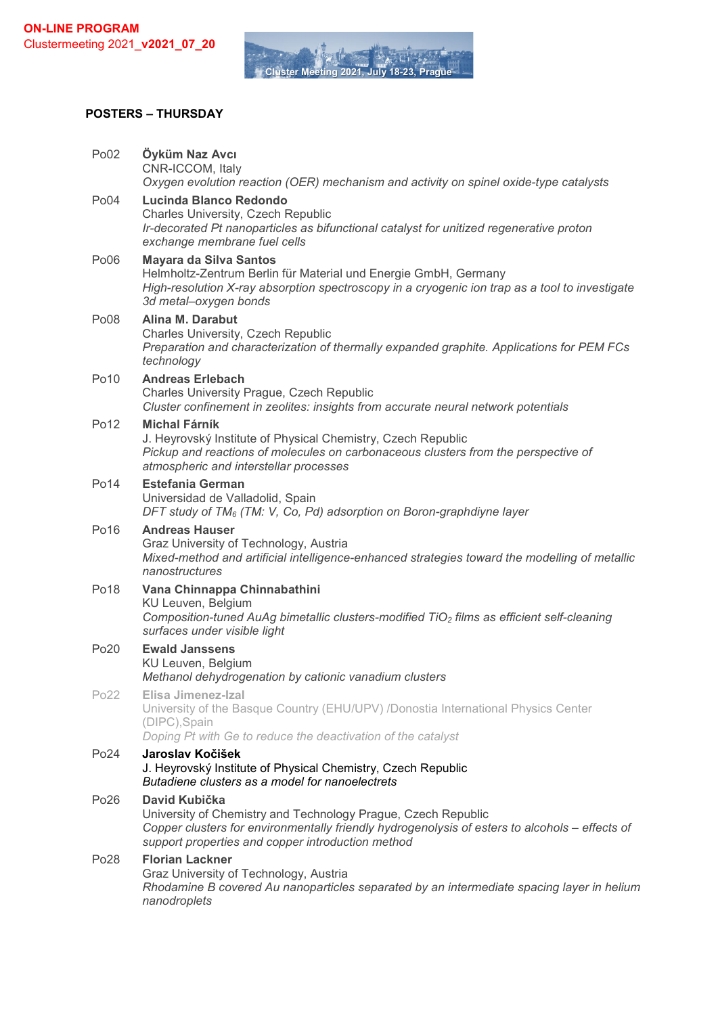**Cluster Meet** 

#### **POSTERS – THURSDAY**

| Po02             | Öyküm Naz Avcı<br>CNR-ICCOM, Italy<br>Oxygen evolution reaction (OER) mechanism and activity on spinel oxide-type catalysts                                                                                                           |
|------------------|---------------------------------------------------------------------------------------------------------------------------------------------------------------------------------------------------------------------------------------|
| Po04             | Lucinda Blanco Redondo<br><b>Charles University, Czech Republic</b><br>Ir-decorated Pt nanoparticles as bifunctional catalyst for unitized regenerative proton<br>exchange membrane fuel cells                                        |
| Po06             | <b>Mayara da Silva Santos</b><br>Helmholtz-Zentrum Berlin für Material und Energie GmbH, Germany<br>High-resolution X-ray absorption spectroscopy in a cryogenic ion trap as a tool to investigate<br>3d metal-oxygen bonds           |
| Po08             | Alina M. Darabut<br>Charles University, Czech Republic<br>Preparation and characterization of thermally expanded graphite. Applications for PEM FCs<br>technology                                                                     |
| Po10             | <b>Andreas Erlebach</b><br>Charles University Prague, Czech Republic<br>Cluster confinement in zeolites: insights from accurate neural network potentials                                                                             |
| Po12             | <b>Michal Fárník</b><br>J. Heyrovský Institute of Physical Chemistry, Czech Republic<br>Pickup and reactions of molecules on carbonaceous clusters from the perspective of<br>atmospheric and interstellar processes                  |
| Po14             | <b>Estefania German</b><br>Universidad de Valladolid, Spain<br>DFT study of $TM_6$ (TM: V, Co, Pd) adsorption on Boron-graphdiyne layer                                                                                               |
| Po16             | <b>Andreas Hauser</b><br>Graz University of Technology, Austria<br>Mixed-method and artificial intelligence-enhanced strategies toward the modelling of metallic<br>nanostructures                                                    |
| Po <sub>18</sub> | Vana Chinnappa Chinnabathini<br>KU Leuven, Belgium<br>Composition-tuned AuAg bimetallic clusters-modified TiO <sub>2</sub> films as efficient self-cleaning<br>surfaces under visible light                                           |
| Po20             | <b>Ewald Janssens</b><br>KU Leuven, Belgium<br>Methanol dehydrogenation by cationic vanadium clusters                                                                                                                                 |
| Po22             | Elisa Jimenez-Izal<br>University of the Basque Country (EHU/UPV) /Donostia International Physics Center<br>(DIPC), Spain<br>Doping Pt with Ge to reduce the deactivation of the catalyst                                              |
| Po24             | Jaroslav Kočišek<br>J. Heyrovský Institute of Physical Chemistry, Czech Republic<br>Butadiene clusters as a model for nanoelectrets                                                                                                   |
| Po26             | David Kubička<br>University of Chemistry and Technology Prague, Czech Republic<br>Copper clusters for environmentally friendly hydrogenolysis of esters to alcohols - effects of<br>support properties and copper introduction method |
| Po28             | <b>Florian Lackner</b><br>Graz University of Technology, Austria<br>Rhodamine B covered Au nanoparticles separated by an intermediate spacing layer in helium<br>nanodroplets                                                         |